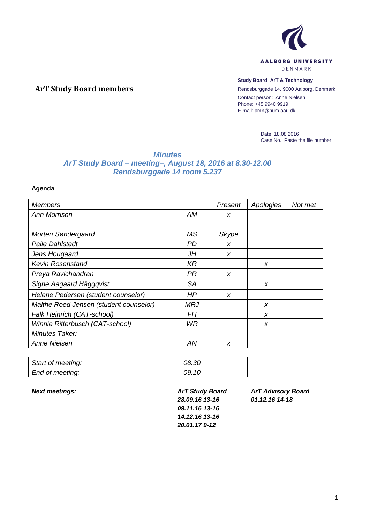

## **Study Board ArT & Technology**

Rendsburggade 14, 9000 Aalborg, Denmark Contact person: Anne Nielsen Phone: +45 9940 9919 E-mail: amn@hum.aau.dk

> Date: 18.08.2016 Case No.: Paste the file number

## *Minutes ArT Study Board – meeting–, August 18, 2016 at 8.30-12.00 Rendsburggade 14 room 5.237*

## **Agenda**

**ArT Study Board members**

| <b>Members</b>                         |            | Present | Apologies | Not met |
|----------------------------------------|------------|---------|-----------|---------|
| <b>Ann Morrison</b>                    | <b>AM</b>  | X       |           |         |
|                                        |            |         |           |         |
| Morten Søndergaard                     | MS         | Skype   |           |         |
| <b>Palle Dahlstedt</b>                 | <b>PD</b>  | X       |           |         |
| Jens Hougaard                          | JH         | X       |           |         |
| <b>Kevin Rosenstand</b>                | KR         |         | X         |         |
| Preya Ravichandran                     | <b>PR</b>  | X       |           |         |
| Signe Aagaard Häggqvist                | <b>SA</b>  |         | X         |         |
| Helene Pedersen (student counselor)    | HP         | X       |           |         |
| Malthe Roed Jensen (student counselor) | <b>MRJ</b> |         | X         |         |
| Falk Heinrich (CAT-school)             | FΗ         |         | X         |         |
| Winnie Ritterbusch (CAT-school)        | WR.        |         | X         |         |
| Minutes Taker:                         |            |         |           |         |
| <b>Anne Nielsen</b>                    | ΑN         | X       |           |         |

| Start of meeting: | 08.30 |  |  |
|-------------------|-------|--|--|
| End of meeting:   | 09.10 |  |  |

*Next meetings: ArT Study Board 28.09.16 13-16 09.11.16 13-16 14.12.16 13-16 20.01.17 9-12*

*ArT Advisory Board 01.12.16 14-18*